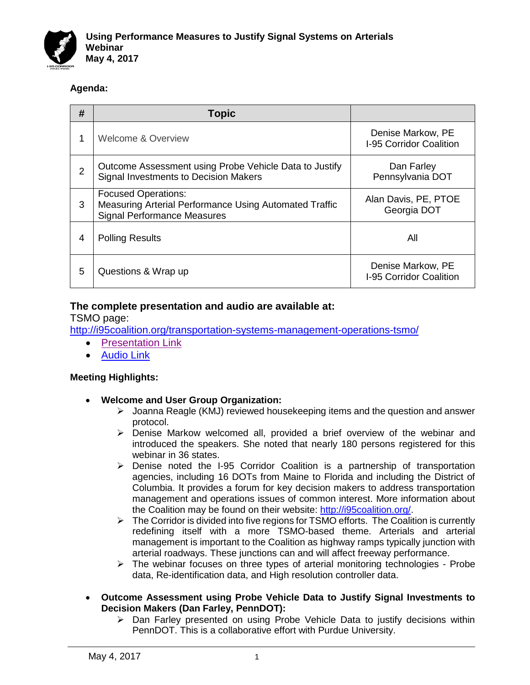

## **Agenda:**

| #              | Topic                                                                                                                      |                                              |
|----------------|----------------------------------------------------------------------------------------------------------------------------|----------------------------------------------|
| 1              | <b>Welcome &amp; Overview</b>                                                                                              | Denise Markow, PE<br>I-95 Corridor Coalition |
| $\overline{2}$ | Outcome Assessment using Probe Vehicle Data to Justify<br>Signal Investments to Decision Makers                            | Dan Farley<br>Pennsylvania DOT               |
| 3              | <b>Focused Operations:</b><br>Measuring Arterial Performance Using Automated Traffic<br><b>Signal Performance Measures</b> | Alan Davis, PE, PTOE<br>Georgia DOT          |
| 4              | <b>Polling Results</b>                                                                                                     | All                                          |
| 5              | Questions & Wrap up                                                                                                        | Denise Markow, PE<br>I-95 Corridor Coalition |

# **The complete presentation and audio are available at:**

TSMO page:

<http://i95coalition.org/transportation-systems-management-operations-tsmo/>

- [Presentation Link](http://i95coalition.org/wp-content/uploads/2017/05/I-95CC-Signal_PM-Coalition_Slides-ver11-Compiled.pdf?652af7)
- [Audio](http://i95coalition.org/wp-content/uploads/2017/05/Signals-PM-Meeting-Audio.mp3) Link

## **Meeting Highlights:**

- **Welcome and User Group Organization:**
	- $\triangleright$  Joanna Reagle (KMJ) reviewed housekeeping items and the question and answer protocol.
	- Denise Markow welcomed all, provided a brief overview of the webinar and introduced the speakers. She noted that nearly 180 persons registered for this webinar in 36 states.
	- $\triangleright$  Denise noted the I-95 Corridor Coalition is a partnership of transportation agencies, including 16 DOTs from Maine to Florida and including the District of Columbia. It provides a forum for key decision makers to address transportation management and operations issues of common interest. More information about the Coalition may be found on their website: [http://i95coalition.org/.](http://i95coalition.org/)
	- $\triangleright$  The Corridor is divided into five regions for TSMO efforts. The Coalition is currently redefining itself with a more TSMO-based theme. Arterials and arterial management is important to the Coalition as highway ramps typically junction with arterial roadways. These junctions can and will affect freeway performance.
	- $\triangleright$  The webinar focuses on three types of arterial monitoring technologies Probe data, Re-identification data, and High resolution controller data.
- **Outcome Assessment using Probe Vehicle Data to Justify Signal Investments to Decision Makers (Dan Farley, PennDOT):** 
	- $\triangleright$  Dan Farley presented on using Probe Vehicle Data to justify decisions within PennDOT. This is a collaborative effort with Purdue University.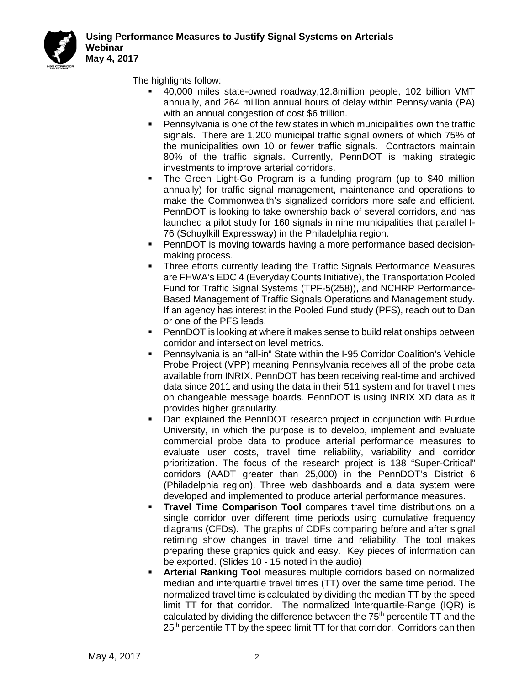

The highlights follow:

- 40,000 miles state-owned roadway,12.8million people, 102 billion VMT annually, and 264 million annual hours of delay within Pennsylvania (PA) with an annual congestion of cost \$6 trillion.
- **Pennsylvania is one of the few states in which municipalities own the traffic** signals. There are 1,200 municipal traffic signal owners of which 75% of the municipalities own 10 or fewer traffic signals. Contractors maintain 80% of the traffic signals. Currently, PennDOT is making strategic investments to improve arterial corridors.
- The Green Light-Go Program is a funding program (up to \$40 million annually) for traffic signal management, maintenance and operations to make the Commonwealth's signalized corridors more safe and efficient. PennDOT is looking to take ownership back of several corridors, and has launched a pilot study for 160 signals in nine municipalities that parallel I-76 (Schuylkill Expressway) in the Philadelphia region.
- PennDOT is moving towards having a more performance based decisionmaking process.
- **Three efforts currently leading the Traffic Signals Performance Measures** are FHWA's EDC 4 (Everyday Counts Initiative), the Transportation Pooled Fund for Traffic Signal Systems (TPF-5(258)), and NCHRP Performance-Based Management of Traffic Signals Operations and Management study. If an agency has interest in the Pooled Fund study (PFS), reach out to Dan or one of the PFS leads.
- PennDOT is looking at where it makes sense to build relationships between corridor and intersection level metrics.
- Pennsylvania is an "all-in" State within the I-95 Corridor Coalition's Vehicle Probe Project (VPP) meaning Pennsylvania receives all of the probe data available from INRIX. PennDOT has been receiving real-time and archived data since 2011 and using the data in their 511 system and for travel times on changeable message boards. PennDOT is using INRIX XD data as it provides higher granularity.
- Dan explained the PennDOT research project in conjunction with Purdue University, in which the purpose is to develop, implement and evaluate commercial probe data to produce arterial performance measures to evaluate user costs, travel time reliability, variability and corridor prioritization. The focus of the research project is 138 "Super-Critical" corridors (AADT greater than 25,000) in the PennDOT's District 6 (Philadelphia region). Three web dashboards and a data system were developed and implemented to produce arterial performance measures.
- **Travel Time Comparison Tool** compares travel time distributions on a single corridor over different time periods using cumulative frequency diagrams (CFDs). The graphs of CDFs comparing before and after signal retiming show changes in travel time and reliability. The tool makes preparing these graphics quick and easy. Key pieces of information can be exported. (Slides 10 - 15 noted in the audio)
- **Arterial Ranking Tool** measures multiple corridors based on normalized median and interquartile travel times (TT) over the same time period. The normalized travel time is calculated by dividing the median TT by the speed limit TT for that corridor. The normalized Interquartile-Range (IQR) is calculated by dividing the difference between the 75<sup>th</sup> percentile TT and the 25<sup>th</sup> percentile TT by the speed limit TT for that corridor. Corridors can then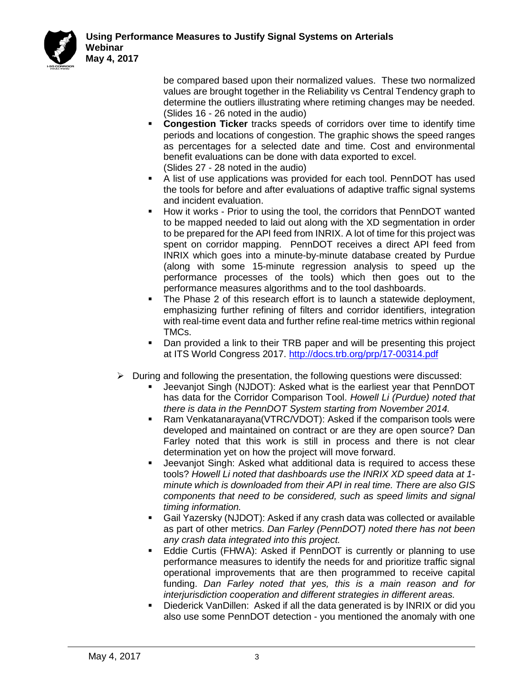



be compared based upon their normalized values. These two normalized values are brought together in the Reliability vs Central Tendency graph to determine the outliers illustrating where retiming changes may be needed. (Slides 16 - 26 noted in the audio)

- **Congestion Ticker** tracks speeds of corridors over time to identify time periods and locations of congestion. The graphic shows the speed ranges as percentages for a selected date and time. Cost and environmental benefit evaluations can be done with data exported to excel. (Slides 27 - 28 noted in the audio)
- A list of use applications was provided for each tool. PennDOT has used the tools for before and after evaluations of adaptive traffic signal systems and incident evaluation.
- How it works Prior to using the tool, the corridors that PennDOT wanted to be mapped needed to laid out along with the XD segmentation in order to be prepared for the API feed from INRIX. A lot of time for this project was spent on corridor mapping. PennDOT receives a direct API feed from INRIX which goes into a minute-by-minute database created by Purdue (along with some 15-minute regression analysis to speed up the performance processes of the tools) which then goes out to the performance measures algorithms and to the tool dashboards.
- The Phase 2 of this research effort is to launch a statewide deployment, emphasizing further refining of filters and corridor identifiers, integration with real-time event data and further refine real-time metrics within regional TMCs.
- **Dan provided a link to their TRB paper and will be presenting this project** at ITS World Congress 2017.<http://docs.trb.org/prp/17-00314.pdf>
- $\triangleright$  During and following the presentation, the following questions were discussed:
	- Jeevanjot Singh (NJDOT): Asked what is the earliest year that PennDOT has data for the Corridor Comparison Tool. *Howell Li (Purdue) noted that there is data in the PennDOT System starting from November 2014.*
	- Ram Venkatanarayana(VTRC/VDOT): Asked if the comparison tools were developed and maintained on contract or are they are open source? Dan Farley noted that this work is still in process and there is not clear determination yet on how the project will move forward.
	- Jeevanjot Singh: Asked what additional data is required to access these tools? *Howell Li noted that dashboards use the INRIX XD speed data at 1 minute which is downloaded from their API in real time. There are also GIS components that need to be considered, such as speed limits and signal timing information.*
	- Gail Yazersky (NJDOT): Asked if any crash data was collected or available as part of other metrics. *Dan Farley (PennDOT) noted there has not been any crash data integrated into this project.*
	- Eddie Curtis (FHWA): Asked if PennDOT is currently or planning to use performance measures to identify the needs for and prioritize traffic signal operational improvements that are then programmed to receive capital funding. *Dan Farley noted that yes, this is a main reason and for interjurisdiction cooperation and different strategies in different areas.*
	- Diederick VanDillen: Asked if all the data generated is by INRIX or did you also use some PennDOT detection - you mentioned the anomaly with one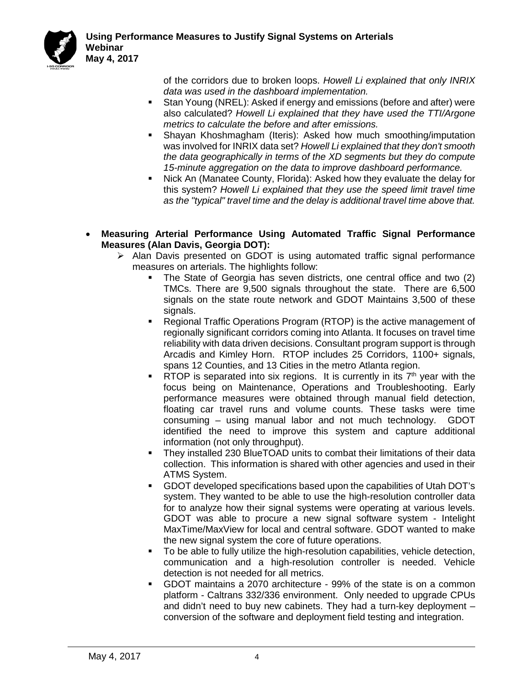

of the corridors due to broken loops. *Howell Li explained that only INRIX data was used in the dashboard implementation.*

- Stan Young (NREL): Asked if energy and emissions (before and after) were also calculated? *Howell Li explained that they have used the TTI/Argone metrics to calculate the before and after emissions.*
- Shayan Khoshmagham (Iteris): Asked how much smoothing/imputation was involved for INRIX data set? *Howell Li explained that they don't smooth the data geographically in terms of the XD segments but they do compute 15-minute aggregation on the data to improve dashboard performance.*
- Nick An (Manatee County, Florida): Asked how they evaluate the delay for this system? *Howell Li explained that they use the speed limit travel time as the "typical" travel time and the delay is additional travel time above that.*
- **Measuring Arterial Performance Using Automated Traffic Signal Performance Measures (Alan Davis, Georgia DOT):** 
	- Alan Davis presented on GDOT is using automated traffic signal performance measures on arterials. The highlights follow:
		- The State of Georgia has seven districts, one central office and two (2) TMCs. There are 9,500 signals throughout the state. There are 6,500 signals on the state route network and GDOT Maintains 3,500 of these signals.
		- Regional Traffic Operations Program (RTOP) is the active management of regionally significant corridors coming into Atlanta. It focuses on travel time reliability with data driven decisions. Consultant program support is through Arcadis and Kimley Horn. RTOP includes 25 Corridors, 1100+ signals, spans 12 Counties, and 13 Cities in the metro Atlanta region.
		- RTOP is separated into six regions. It is currently in its  $7<sup>th</sup>$  year with the focus being on Maintenance, Operations and Troubleshooting. Early performance measures were obtained through manual field detection, floating car travel runs and volume counts. These tasks were time consuming – using manual labor and not much technology. GDOT identified the need to improve this system and capture additional information (not only throughput).
		- They installed 230 BlueTOAD units to combat their limitations of their data collection. This information is shared with other agencies and used in their ATMS System.
		- GDOT developed specifications based upon the capabilities of Utah DOT's system. They wanted to be able to use the high-resolution controller data for to analyze how their signal systems were operating at various levels. GDOT was able to procure a new signal software system - Intelight MaxTime/MaxView for local and central software. GDOT wanted to make the new signal system the core of future operations.
		- To be able to fully utilize the high-resolution capabilities, vehicle detection, communication and a high-resolution controller is needed. Vehicle detection is not needed for all metrics.
		- GDOT maintains a 2070 architecture 99% of the state is on a common platform - Caltrans 332/336 environment. Only needed to upgrade CPUs and didn't need to buy new cabinets. They had a turn-key deployment – conversion of the software and deployment field testing and integration.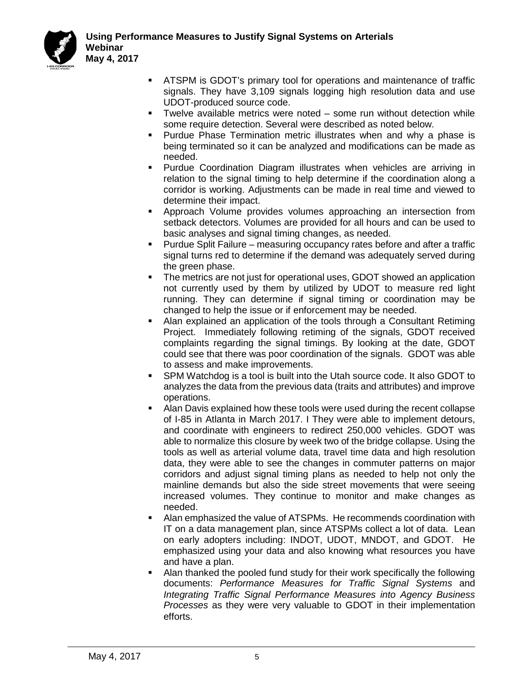

- ATSPM is GDOT's primary tool for operations and maintenance of traffic signals. They have 3,109 signals logging high resolution data and use UDOT-produced source code.
- Twelve available metrics were noted some run without detection while some require detection. Several were described as noted below.
- Purdue Phase Termination metric illustrates when and why a phase is being terminated so it can be analyzed and modifications can be made as needed.
- Purdue Coordination Diagram illustrates when vehicles are arriving in relation to the signal timing to help determine if the coordination along a corridor is working. Adjustments can be made in real time and viewed to determine their impact.
- Approach Volume provides volumes approaching an intersection from setback detectors. Volumes are provided for all hours and can be used to basic analyses and signal timing changes, as needed.
- Purdue Split Failure measuring occupancy rates before and after a traffic signal turns red to determine if the demand was adequately served during the green phase.
- The metrics are not just for operational uses, GDOT showed an application not currently used by them by utilized by UDOT to measure red light running. They can determine if signal timing or coordination may be changed to help the issue or if enforcement may be needed.
- Alan explained an application of the tools through a Consultant Retiming Project. Immediately following retiming of the signals, GDOT received complaints regarding the signal timings. By looking at the date, GDOT could see that there was poor coordination of the signals. GDOT was able to assess and make improvements.
- **SPM Watchdog is a tool is built into the Utah source code. It also GDOT to** analyzes the data from the previous data (traits and attributes) and improve operations.
- Alan Davis explained how these tools were used during the recent collapse of I-85 in Atlanta in March 2017. I They were able to implement detours, and coordinate with engineers to redirect 250,000 vehicles. GDOT was able to normalize this closure by week two of the bridge collapse. Using the tools as well as arterial volume data, travel time data and high resolution data, they were able to see the changes in commuter patterns on major corridors and adjust signal timing plans as needed to help not only the mainline demands but also the side street movements that were seeing increased volumes. They continue to monitor and make changes as needed.
- Alan emphasized the value of ATSPMs. He recommends coordination with IT on a data management plan, since ATSPMs collect a lot of data. Lean on early adopters including: INDOT, UDOT, MNDOT, and GDOT. He emphasized using your data and also knowing what resources you have and have a plan.
- Alan thanked the pooled fund study for their work specifically the following documents: *Performance Measures for Traffic Signal Systems* and *Integrating Traffic Signal Performance Measures into Agency Business Processes* as they were very valuable to GDOT in their implementation efforts.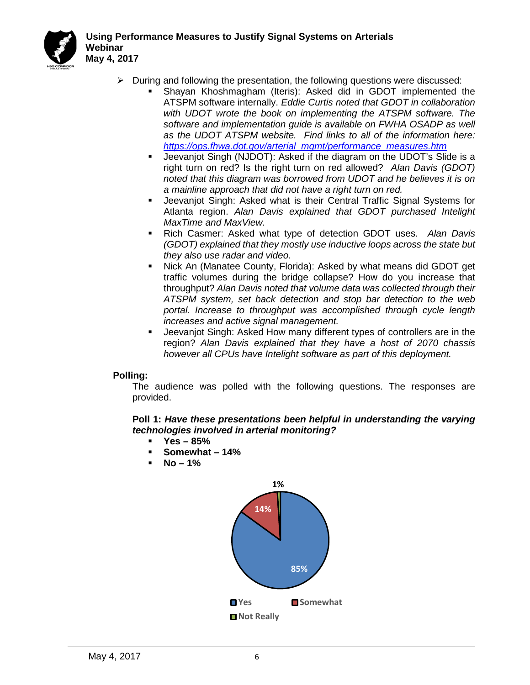

 **Using Performance Measures to Justify Signal Systems on Arterials Webinar May 4, 2017**

- $\triangleright$  During and following the presentation, the following questions were discussed:
	- Shayan Khoshmagham (Iteris): Asked did in GDOT implemented the ATSPM software internally. *Eddie Curtis noted that GDOT in collaboration with UDOT wrote the book on implementing the ATSPM software. The software and implementation guide is available on FWHA OSADP as well as the UDOT ATSPM website. Find links to all of the information here: [https://ops.fhwa.dot.gov/arterial\\_mgmt/performance\\_measures.htm](https://ops.fhwa.dot.gov/arterial_mgmt/performance_measures.htm)*
	- Jeevanjot Singh (NJDOT): Asked if the diagram on the UDOT's Slide is a right turn on red? Is the right turn on red allowed? *Alan Davis (GDOT) noted that this diagram was borrowed from UDOT and he believes it is on a mainline approach that did not have a right turn on red.*
	- Jeevanjot Singh: Asked what is their Central Traffic Signal Systems for Atlanta region. *Alan Davis explained that GDOT purchased Intelight MaxTime and MaxView.*
	- Rich Casmer: Asked what type of detection GDOT uses. *Alan Davis (GDOT) explained that they mostly use inductive loops across the state but they also use radar and video.*
	- Nick An (Manatee County, Florida): Asked by what means did GDOT get traffic volumes during the bridge collapse? How do you increase that throughput? *Alan Davis noted that volume data was collected through their ATSPM system, set back detection and stop bar detection to the web portal. Increase to throughput was accomplished through cycle length increases and active signal management.*
	- Jeevanjot Singh: Asked How many different types of controllers are in the region? *Alan Davis explained that they have a host of 2070 chassis however all CPUs have Intelight software as part of this deployment.*

#### **Polling:**

The audience was polled with the following questions. The responses are provided.

**Poll 1:** *Have these presentations been helpful in understanding the varying technologies involved in arterial monitoring?*

- **Yes – 85%**
- **Somewhat – 14%**
- **No – 1%**

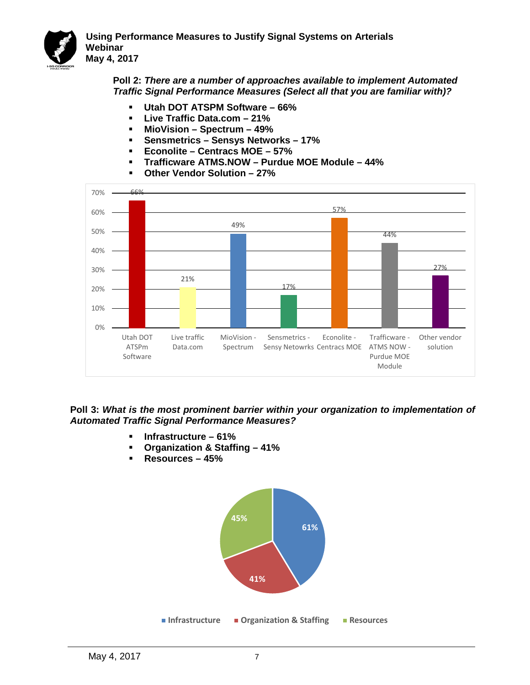

**Poll 2:** *There are a number of approaches available to implement Automated Traffic Signal Performance Measures (Select all that you are familiar with)?*

- **Utah DOT ATSPM Software – 66%**
- **Live Traffic Data.com – 21%**
- **MioVision – Spectrum – 49%**
- **Sensmetrics – Sensys Networks – 17%**
- **Econolite – Centracs MOE – 57%**
- **Trafficware ATMS.NOW – Purdue MOE Module – 44%**
- **Other Vendor Solution – 27%**



## **Poll 3:** *What is the most prominent barrier within your organization to implementation of Automated Traffic Signal Performance Measures?*

- **Infrastructure – 61%**
- **Organization & Staffing – 41%**
- **Resources – 45%**

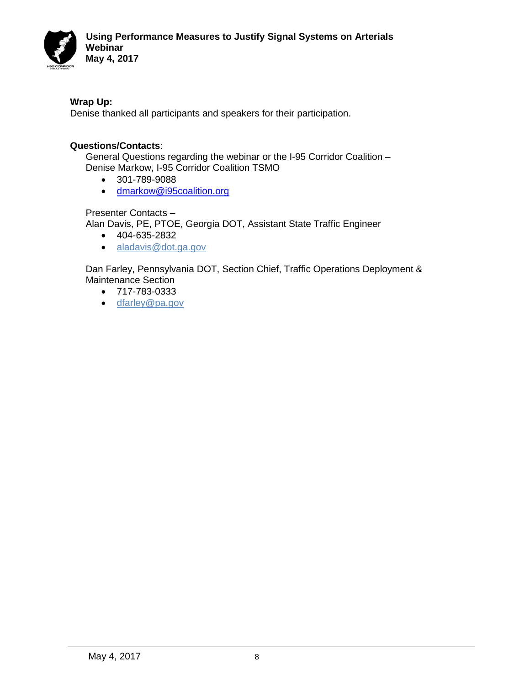

## **Wrap Up:**

Denise thanked all participants and speakers for their participation.

## **Questions/Contacts**:

General Questions regarding the webinar or the I-95 Corridor Coalition – Denise Markow, I-95 Corridor Coalition TSMO

- 301-789-9088
- [dmarkow@i95coalition.org](mailto:dmarkow@i95coalition.org)

Presenter Contacts –

Alan Davis, PE, PTOE, Georgia DOT, Assistant State Traffic Engineer

- 404-635-2832
- aladavis@dot.ga.gov

Dan Farley, Pennsylvania DOT, Section Chief, Traffic Operations Deployment & Maintenance Section

- 717-783-0333
- [dfarley@pa.gov](mailto:dfarley@pa.gov)